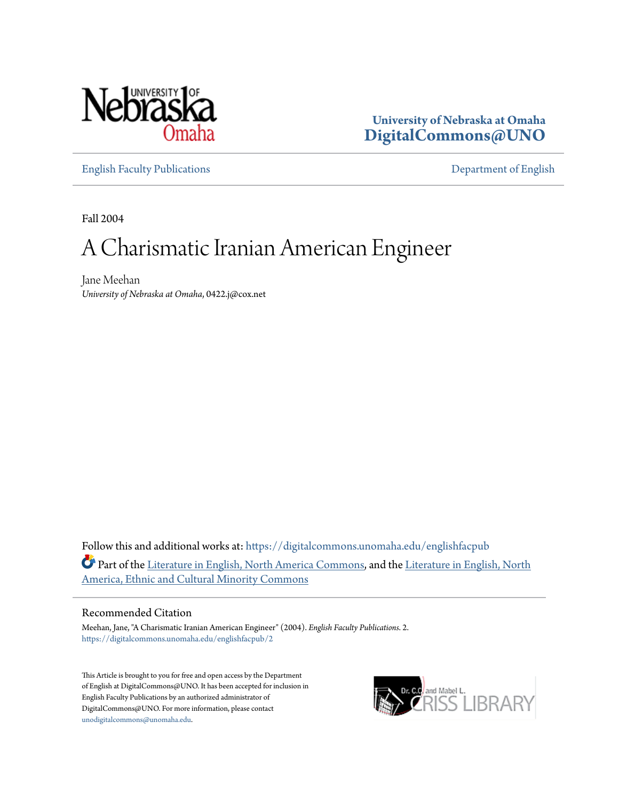

**University of Nebraska at Omaha [DigitalCommons@UNO](https://digitalcommons.unomaha.edu?utm_source=digitalcommons.unomaha.edu%2Fenglishfacpub%2F2&utm_medium=PDF&utm_campaign=PDFCoverPages)**

[English Faculty Publications](https://digitalcommons.unomaha.edu/englishfacpub?utm_source=digitalcommons.unomaha.edu%2Fenglishfacpub%2F2&utm_medium=PDF&utm_campaign=PDFCoverPages) [Department of English](https://digitalcommons.unomaha.edu/english?utm_source=digitalcommons.unomaha.edu%2Fenglishfacpub%2F2&utm_medium=PDF&utm_campaign=PDFCoverPages)

Fall 2004

# A Charismatic Iranian American Engineer

Jane Meehan *University of Nebraska at Omaha*, 0422.j@cox.net

Follow this and additional works at: [https://digitalcommons.unomaha.edu/englishfacpub](https://digitalcommons.unomaha.edu/englishfacpub?utm_source=digitalcommons.unomaha.edu%2Fenglishfacpub%2F2&utm_medium=PDF&utm_campaign=PDFCoverPages) Part of the [Literature in English, North America Commons](http://network.bepress.com/hgg/discipline/458?utm_source=digitalcommons.unomaha.edu%2Fenglishfacpub%2F2&utm_medium=PDF&utm_campaign=PDFCoverPages), and the [Literature in English, North](http://network.bepress.com/hgg/discipline/459?utm_source=digitalcommons.unomaha.edu%2Fenglishfacpub%2F2&utm_medium=PDF&utm_campaign=PDFCoverPages) [America, Ethnic and Cultural Minority Commons](http://network.bepress.com/hgg/discipline/459?utm_source=digitalcommons.unomaha.edu%2Fenglishfacpub%2F2&utm_medium=PDF&utm_campaign=PDFCoverPages)

### Recommended Citation

Meehan, Jane, "A Charismatic Iranian American Engineer" (2004). *English Faculty Publications*. 2. [https://digitalcommons.unomaha.edu/englishfacpub/2](https://digitalcommons.unomaha.edu/englishfacpub/2?utm_source=digitalcommons.unomaha.edu%2Fenglishfacpub%2F2&utm_medium=PDF&utm_campaign=PDFCoverPages)

This Article is brought to you for free and open access by the Department of English at DigitalCommons@UNO. It has been accepted for inclusion in English Faculty Publications by an authorized administrator of DigitalCommons@UNO. For more information, please contact [unodigitalcommons@unomaha.edu](mailto:unodigitalcommons@unomaha.edu).

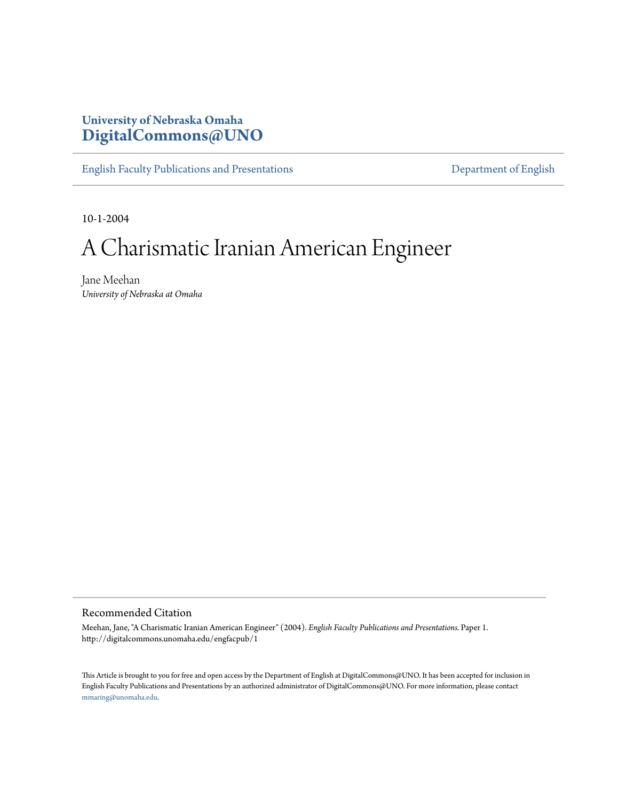### **University of Nebraska Omaha [DigitalCommons@UNO](http://digitalcommons.unomaha.edu)**

[English Faculty Publications and Presentations](http://digitalcommons.unomaha.edu/engfacpub) **[Department of English](http://digitalcommons.unomaha.edu/english)** 

10-1-2004

## A Charismatic Iranian American Engineer

Jane Meehan *University of Nebraska at Omaha*

#### Recommended Citation

Meehan, Jane, "A Charismatic Iranian American Engineer" (2004). *English Faculty Publications and Presentations.* Paper 1. http://digitalcommons.unomaha.edu/engfacpub/1

This Article is brought to you for free and open access by the Department of English at DigitalCommons@UNO. It has been accepted for inclusion in English Faculty Publications and Presentations by an authorized administrator of DigitalCommons@UNO. For more information, please contact [mmaring@unomaha.edu.](mailto:mmaring@unomaha.edu)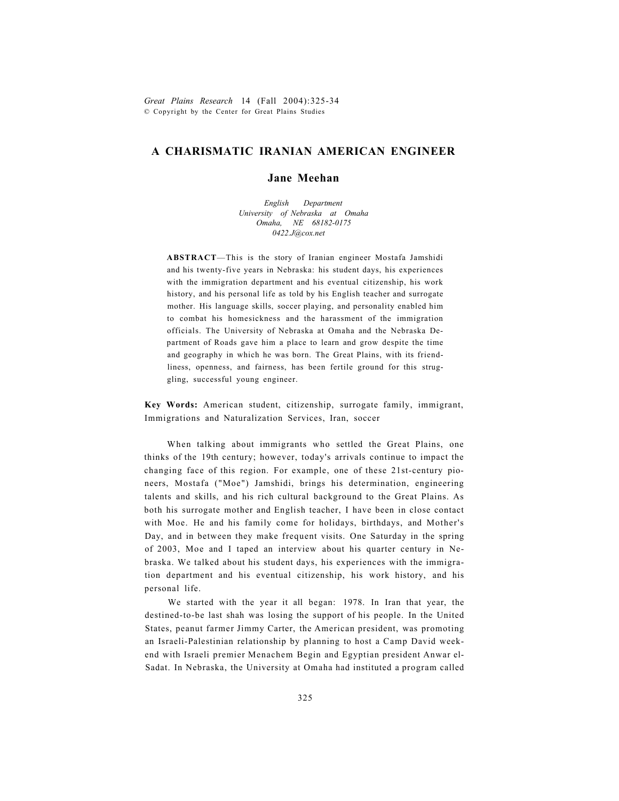*Great Plains Research* 14 (Fall 2004):325-34 © Copyright by the Center for Great Plains Studies

### **A CHARISMATIC IRANIAN AMERICAN ENGINEER**

### **Jane Meehan**

*English Department University of Nebraska at Omaha Omaha, NE 68182-0175 [0422.J@cox.net](mailto:0422.J@cox.net)* 

**ABSTRACT**—This is the story of Iranian engineer Mostafa Jamshidi and his twenty-five years in Nebraska: his student days, his experiences with the immigration department and his eventual citizenship, his work history, and his personal life as told by his English teacher and surrogate mother. His language skills, soccer playing, and personality enabled him to combat his homesickness and the harassment of the immigration officials. The University of Nebraska at Omaha and the Nebraska Department of Roads gave him a place to learn and grow despite the time and geography in which he was born. The Great Plains, with its friendliness, openness, and fairness, has been fertile ground for this struggling, successful young engineer.

**Key Words:** American student, citizenship, surrogate family, immigrant, Immigrations and Naturalization Services, Iran, soccer

When talking about immigrants who settled the Great Plains, one thinks of the 19th century; however, today's arrivals continue to impact the changing face of this region. For example, one of these 21st-century pioneers, Mostafa ("Moe") Jamshidi, brings his determination, engineering talents and skills, and his rich cultural background to the Great Plains. As both his surrogate mother and English teacher, I have been in close contact with Moe. He and his family come for holidays, birthdays, and Mother's Day, and in between they make frequent visits. One Saturday in the spring of 2003, Moe and I taped an interview about his quarter century in Nebraska. We talked about his student days, his experiences with the immigration department and his eventual citizenship, his work history, and his personal life.

We started with the year it all began: 1978. In Iran that year, the destined-to-be last shah was losing the support of his people. In the United States, peanut farmer Jimmy Carter, the American president, was promoting an Israeli-Palestinian relationship by planning to host a Camp David weekend with Israeli premier Menachem Begin and Egyptian president Anwar el-Sadat. In Nebraska, the University at Omaha had instituted a program called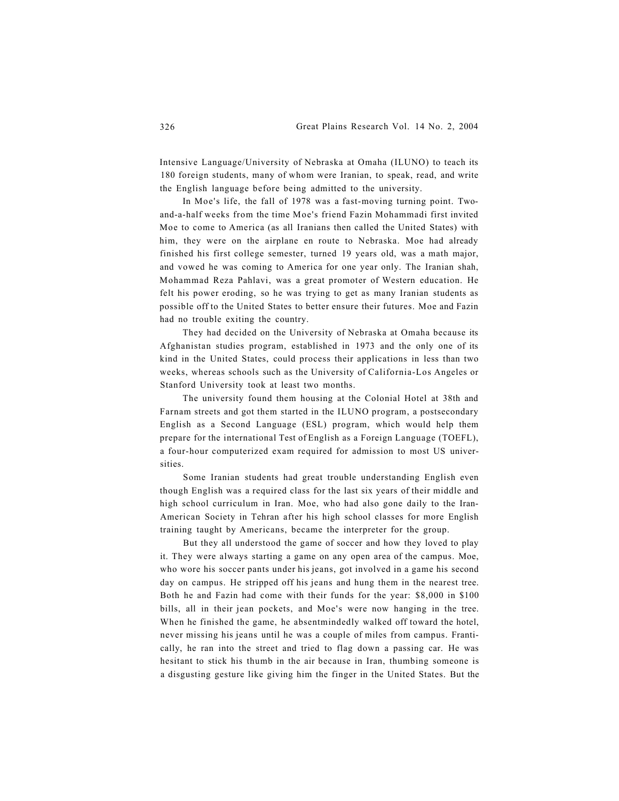Intensive Language/University of Nebraska at Omaha (ILUNO) to teach its 180 foreign students, many of whom were Iranian, to speak, read, and write the English language before being admitted to the university.

In Moe's life, the fall of 1978 was a fast-moving turning point. Twoand-a-half weeks from the time Moe's friend Fazin Mohammadi first invited Moe to come to America (as all Iranians then called the United States) with him, they were on the airplane en route to Nebraska. Moe had already finished his first college semester, turned 19 years old, was a math major, and vowed he was coming to America for one year only. The Iranian shah, Mohammad Reza Pahlavi, was a great promoter of Western education. He felt his power eroding, so he was trying to get as many Iranian students as possible off to the United States to better ensure their futures. Moe and Fazin had no trouble exiting the country.

They had decided on the University of Nebraska at Omaha because its Afghanistan studies program, established in 1973 and the only one of its kind in the United States, could process their applications in less than two weeks, whereas schools such as the University of California-Los Angeles or Stanford University took at least two months.

The university found them housing at the Colonial Hotel at 38th and Farnam streets and got them started in the ILUNO program, a postsecondary English as a Second Language (ESL) program, which would help them prepare for the international Test of English as a Foreign Language (TOEFL), a four-hour computerized exam required for admission to most US universities.

Some Iranian students had great trouble understanding English even though English was a required class for the last six years of their middle and high school curriculum in Iran. Moe, who had also gone daily to the Iran-American Society in Tehran after his high school classes for more English training taught by Americans, became the interpreter for the group.

But they all understood the game of soccer and how they loved to play it. They were always starting a game on any open area of the campus. Moe, who wore his soccer pants under his jeans, got involved in a game his second day on campus. He stripped off his jeans and hung them in the nearest tree. Both he and Fazin had come with their funds for the year: \$8,000 in \$100 bills, all in their jean pockets, and Moe's were now hanging in the tree. When he finished the game, he absentmindedly walked off toward the hotel, never missing his jeans until he was a couple of miles from campus. Frantically, he ran into the street and tried to flag down a passing car. He was hesitant to stick his thumb in the air because in Iran, thumbing someone is a disgusting gesture like giving him the finger in the United States. But the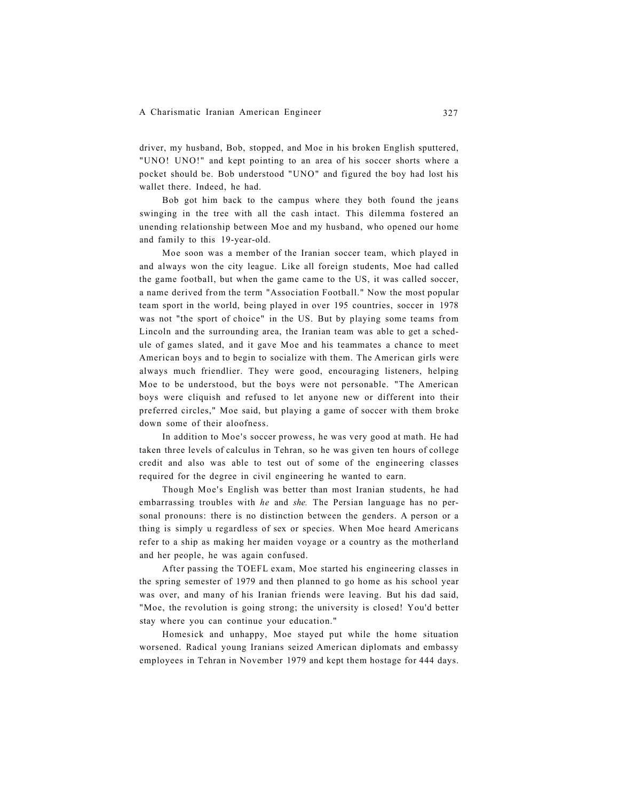driver, my husband, Bob, stopped, and Moe in his broken English sputtered, "UNO! UNO!" and kept pointing to an area of his soccer shorts where a pocket should be. Bob understood "UNO" and figured the boy had lost his wallet there. Indeed, he had.

Bob got him back to the campus where they both found the jeans swinging in the tree with all the cash intact. This dilemma fostered an unending relationship between Moe and my husband, who opened our home and family to this 19-year-old.

Moe soon was a member of the Iranian soccer team, which played in and always won the city league. Like all foreign students, Moe had called the game football, but when the game came to the US, it was called soccer, a name derived from the term "Association Football." Now the most popular team sport in the world, being played in over 195 countries, soccer in 1978 was not "the sport of choice" in the US. But by playing some teams from Lincoln and the surrounding area, the Iranian team was able to get a schedule of games slated, and it gave Moe and his teammates a chance to meet American boys and to begin to socialize with them. The American girls were always much friendlier. They were good, encouraging listeners, helping Moe to be understood, but the boys were not personable. "The American boys were cliquish and refused to let anyone new or different into their preferred circles," Moe said, but playing a game of soccer with them broke down some of their aloofness.

In addition to Moe's soccer prowess, he was very good at math. He had taken three levels of calculus in Tehran, so he was given ten hours of college credit and also was able to test out of some of the engineering classes required for the degree in civil engineering he wanted to earn.

Though Moe's English was better than most Iranian students, he had embarrassing troubles with *he* and *she.* The Persian language has no personal pronouns: there is no distinction between the genders. A person or a thing is simply u regardless of sex or species. When Moe heard Americans refer to a ship as making her maiden voyage or a country as the motherland and her people, he was again confused.

After passing the TOEFL exam, Moe started his engineering classes in the spring semester of 1979 and then planned to go home as his school year was over, and many of his Iranian friends were leaving. But his dad said, "Moe, the revolution is going strong; the university is closed! You'd better stay where you can continue your education."

Homesick and unhappy, Moe stayed put while the home situation worsened. Radical young Iranians seized American diplomats and embassy employees in Tehran in November 1979 and kept them hostage for 444 days.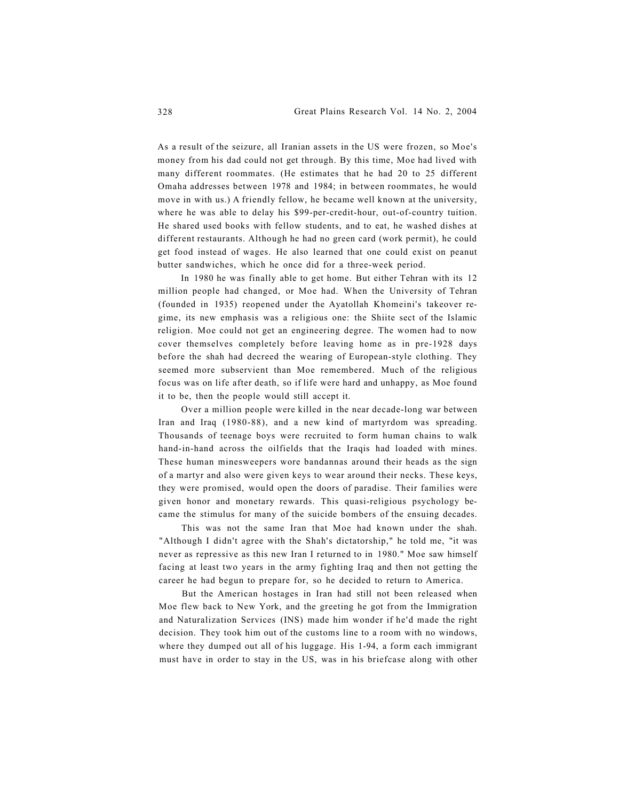As a result of the seizure, all Iranian assets in the US were frozen, so Moe's money from his dad could not get through. By this time, Moe had lived with many different roommates. (He estimates that he had 20 to 25 different Omaha addresses between 1978 and 1984; in between roommates, he would move in with us.) A friendly fellow, he became well known at the university, where he was able to delay his \$99-per-credit-hour, out-of-country tuition. He shared used books with fellow students, and to eat, he washed dishes at different restaurants. Although he had no green card (work permit), he could get food instead of wages. He also learned that one could exist on peanut butter sandwiches, which he once did for a three-week period.

In 1980 he was finally able to get home. But either Tehran with its 12 million people had changed, or Moe had. When the University of Tehran (founded in 1935) reopened under the Ayatollah Khomeini's takeover regime, its new emphasis was a religious one: the Shiite sect of the Islamic religion. Moe could not get an engineering degree. The women had to now cover themselves completely before leaving home as in pre-1928 days before the shah had decreed the wearing of European-style clothing. They seemed more subservient than Moe remembered. Much of the religious focus was on life after death, so if life were hard and unhappy, as Moe found it to be, then the people would still accept it.

Over a million people were killed in the near decade-long war between Iran and Iraq (1980-88), and a new kind of martyrdom was spreading. Thousands of teenage boys were recruited to form human chains to walk hand-in-hand across the oilfields that the Iraqis had loaded with mines. These human minesweepers wore bandannas around their heads as the sign of a martyr and also were given keys to wear around their necks. These keys, they were promised, would open the doors of paradise. Their families were given honor and monetary rewards. This quasi-religious psychology became the stimulus for many of the suicide bombers of the ensuing decades.

This was not the same Iran that Moe had known under the shah. "Although I didn't agree with the Shah's dictatorship," he told me, "it was never as repressive as this new Iran I returned to in 1980." Moe saw himself facing at least two years in the army fighting Iraq and then not getting the career he had begun to prepare for, so he decided to return to America.

But the American hostages in Iran had still not been released when Moe flew back to New York, and the greeting he got from the Immigration and Naturalization Services (INS) made him wonder if he'd made the right decision. They took him out of the customs line to a room with no windows, where they dumped out all of his luggage. His 1-94, a form each immigrant must have in order to stay in the US, was in his briefcase along with other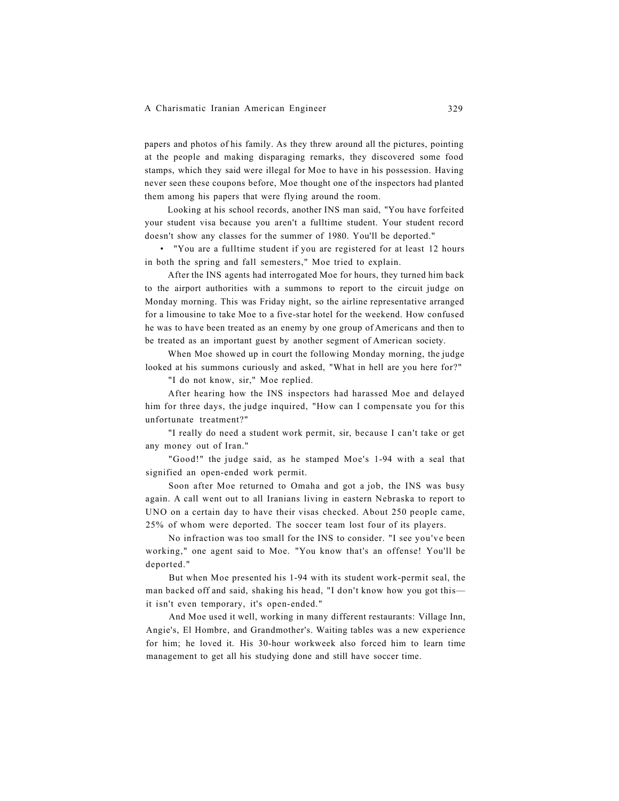papers and photos of his family. As they threw around all the pictures, pointing at the people and making disparaging remarks, they discovered some food stamps, which they said were illegal for Moe to have in his possession. Having never seen these coupons before, Moe thought one of the inspectors had planted them among his papers that were flying around the room.

Looking at his school records, another INS man said, "You have forfeited your student visa because you aren't a fulltime student. Your student record doesn't show any classes for the summer of 1980. You'll be deported."

• "You are a fulltime student if you are registered for at least 12 hours in both the spring and fall semesters," Moe tried to explain.

After the INS agents had interrogated Moe for hours, they turned him back to the airport authorities with a summons to report to the circuit judge on Monday morning. This was Friday night, so the airline representative arranged for a limousine to take Moe to a five-star hotel for the weekend. How confused he was to have been treated as an enemy by one group of Americans and then to be treated as an important guest by another segment of American society.

When Moe showed up in court the following Monday morning, the judge looked at his summons curiously and asked, "What in hell are you here for?"

"I do not know, sir," Moe replied.

After hearing how the INS inspectors had harassed Moe and delayed him for three days, the judge inquired, "How can I compensate you for this unfortunate treatment?"

"I really do need a student work permit, sir, because I can't take or get any money out of Iran."

"Good!" the judge said, as he stamped Moe's 1-94 with a seal that signified an open-ended work permit.

Soon after Moe returned to Omaha and got a job, the INS was busy again. A call went out to all Iranians living in eastern Nebraska to report to UNO on a certain day to have their visas checked. About 250 people came, 25% of whom were deported. The soccer team lost four of its players.

No infraction was too small for the INS to consider. "I see you've been working," one agent said to Moe. "You know that's an offense! You'll be deported."

But when Moe presented his 1-94 with its student work-permit seal, the man backed off and said, shaking his head, "I don't know how you got this it isn't even temporary, it's open-ended."

And Moe used it well, working in many different restaurants: Village Inn, Angie's, El Hombre, and Grandmother's. Waiting tables was a new experience for him; he loved it. His 30-hour workweek also forced him to learn time management to get all his studying done and still have soccer time.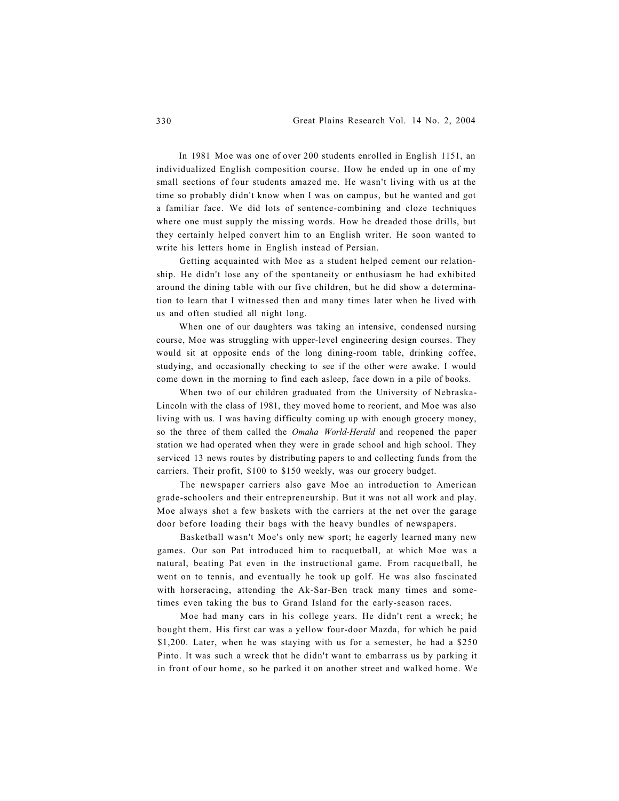In 1981 Moe was one of over 200 students enrolled in English 1151, an individualized English composition course. How he ended up in one of my small sections of four students amazed me. He wasn't living with us at the time so probably didn't know when I was on campus, but he wanted and got a familiar face. We did lots of sentence-combining and cloze techniques where one must supply the missing words. How he dreaded those drills, but they certainly helped convert him to an English writer. He soon wanted to write his letters home in English instead of Persian.

Getting acquainted with Moe as a student helped cement our relationship. He didn't lose any of the spontaneity or enthusiasm he had exhibited around the dining table with our five children, but he did show a determination to learn that I witnessed then and many times later when he lived with us and often studied all night long.

When one of our daughters was taking an intensive, condensed nursing course, Moe was struggling with upper-level engineering design courses. They would sit at opposite ends of the long dining-room table, drinking coffee, studying, and occasionally checking to see if the other were awake. I would come down in the morning to find each asleep, face down in a pile of books.

When two of our children graduated from the University of Nebraska-Lincoln with the class of 1981, they moved home to reorient, and Moe was also living with us. I was having difficulty coming up with enough grocery money, so the three of them called the *Omaha World-Herald* and reopened the paper station we had operated when they were in grade school and high school. They serviced 13 news routes by distributing papers to and collecting funds from the carriers. Their profit, \$100 to \$150 weekly, was our grocery budget.

The newspaper carriers also gave Moe an introduction to American grade-schoolers and their entrepreneurship. But it was not all work and play. Moe always shot a few baskets with the carriers at the net over the garage door before loading their bags with the heavy bundles of newspapers.

Basketball wasn't Moe's only new sport; he eagerly learned many new games. Our son Pat introduced him to racquetball, at which Moe was a natural, beating Pat even in the instructional game. From racquetball, he went on to tennis, and eventually he took up golf. He was also fascinated with horseracing, attending the Ak-Sar-Ben track many times and sometimes even taking the bus to Grand Island for the early-season races.

Moe had many cars in his college years. He didn't rent a wreck; he bought them. His first car was a yellow four-door Mazda, for which he paid \$1,200. Later, when he was staying with us for a semester, he had a \$250 Pinto. It was such a wreck that he didn't want to embarrass us by parking it in front of our home, so he parked it on another street and walked home. We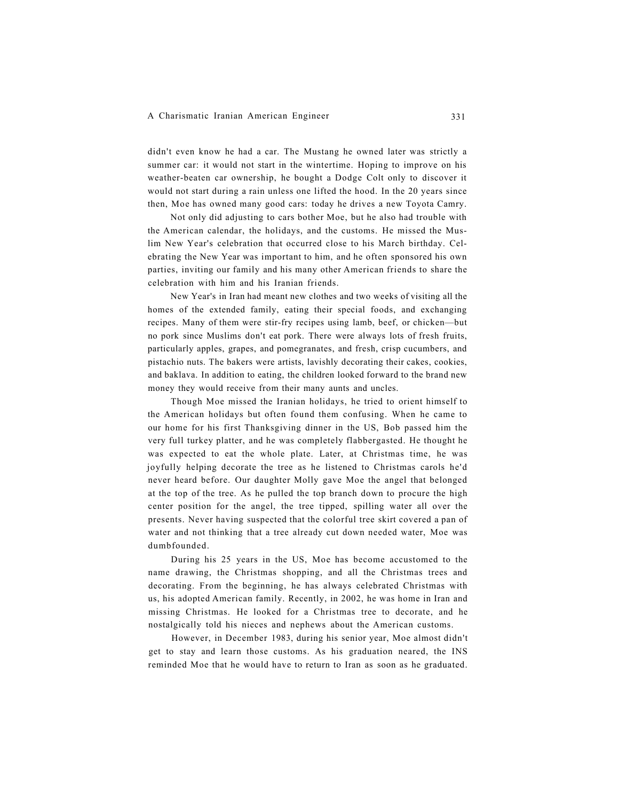didn't even know he had a car. The Mustang he owned later was strictly a summer car: it would not start in the wintertime. Hoping to improve on his weather-beaten car ownership, he bought a Dodge Colt only to discover it would not start during a rain unless one lifted the hood. In the 20 years since then, Moe has owned many good cars: today he drives a new Toyota Camry.

Not only did adjusting to cars bother Moe, but he also had trouble with the American calendar, the holidays, and the customs. He missed the Muslim New Year's celebration that occurred close to his March birthday. Celebrating the New Year was important to him, and he often sponsored his own parties, inviting our family and his many other American friends to share the celebration with him and his Iranian friends.

New Year's in Iran had meant new clothes and two weeks of visiting all the homes of the extended family, eating their special foods, and exchanging recipes. Many of them were stir-fry recipes using lamb, beef, or chicken—but no pork since Muslims don't eat pork. There were always lots of fresh fruits, particularly apples, grapes, and pomegranates, and fresh, crisp cucumbers, and pistachio nuts. The bakers were artists, lavishly decorating their cakes, cookies, and baklava. In addition to eating, the children looked forward to the brand new money they would receive from their many aunts and uncles.

Though Moe missed the Iranian holidays, he tried to orient himself to the American holidays but often found them confusing. When he came to our home for his first Thanksgiving dinner in the US, Bob passed him the very full turkey platter, and he was completely flabbergasted. He thought he was expected to eat the whole plate. Later, at Christmas time, he was joyfully helping decorate the tree as he listened to Christmas carols he'd never heard before. Our daughter Molly gave Moe the angel that belonged at the top of the tree. As he pulled the top branch down to procure the high center position for the angel, the tree tipped, spilling water all over the presents. Never having suspected that the colorful tree skirt covered a pan of water and not thinking that a tree already cut down needed water, Moe was dumbfounded.

During his 25 years in the US, Moe has become accustomed to the name drawing, the Christmas shopping, and all the Christmas trees and decorating. From the beginning, he has always celebrated Christmas with us, his adopted American family. Recently, in 2002, he was home in Iran and missing Christmas. He looked for a Christmas tree to decorate, and he nostalgically told his nieces and nephews about the American customs.

However, in December 1983, during his senior year, Moe almost didn't get to stay and learn those customs. As his graduation neared, the INS reminded Moe that he would have to return to Iran as soon as he graduated.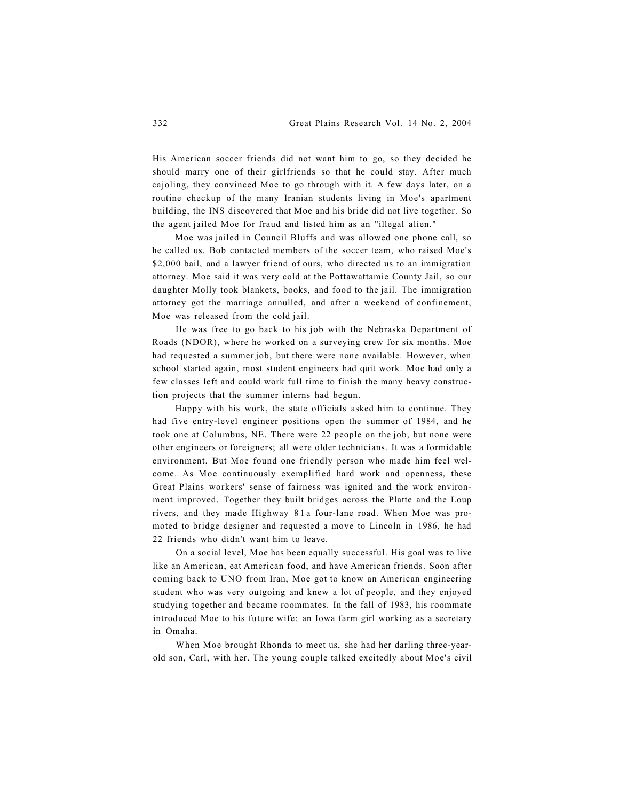His American soccer friends did not want him to go, so they decided he should marry one of their girlfriends so that he could stay. After much cajoling, they convinced Moe to go through with it. A few days later, on a routine checkup of the many Iranian students living in Moe's apartment building, the INS discovered that Moe and his bride did not live together. So the agent jailed Moe for fraud and listed him as an "illegal alien."

Moe was jailed in Council Bluffs and was allowed one phone call, so he called us. Bob contacted members of the soccer team, who raised Moe's \$2,000 bail, and a lawyer friend of ours, who directed us to an immigration attorney. Moe said it was very cold at the Pottawattamie County Jail, so our daughter Molly took blankets, books, and food to the jail. The immigration attorney got the marriage annulled, and after a weekend of confinement, Moe was released from the cold jail.

He was free to go back to his job with the Nebraska Department of Roads (NDOR), where he worked on a surveying crew for six months. Moe had requested a summer job, but there were none available. However, when school started again, most student engineers had quit work. Moe had only a few classes left and could work full time to finish the many heavy construction projects that the summer interns had begun.

Happy with his work, the state officials asked him to continue. They had five entry-level engineer positions open the summer of 1984, and he took one at Columbus, NE. There were 22 people on the job, but none were other engineers or foreigners; all were older technicians. It was a formidable environment. But Moe found one friendly person who made him feel welcome. As Moe continuously exemplified hard work and openness, these Great Plains workers' sense of fairness was ignited and the work environment improved. Together they built bridges across the Platte and the Loup rivers, and they made Highway 81 a four-lane road. When Moe was promoted to bridge designer and requested a move to Lincoln in 1986, he had 22 friends who didn't want him to leave.

On a social level, Moe has been equally successful. His goal was to live like an American, eat American food, and have American friends. Soon after coming back to UNO from Iran, Moe got to know an American engineering student who was very outgoing and knew a lot of people, and they enjoyed studying together and became roommates. In the fall of 1983, his roommate introduced Moe to his future wife: an Iowa farm girl working as a secretary in Omaha.

When Moe brought Rhonda to meet us, she had her darling three-yearold son, Carl, with her. The young couple talked excitedly about Moe's civil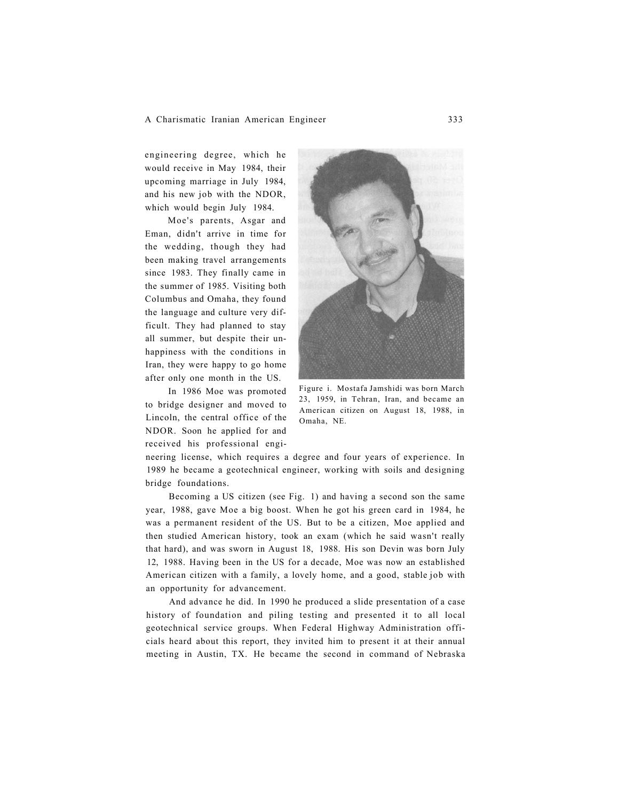engineering degree, which he would receive in May 1984, their upcoming marriage in July 1984, and his new job with the NDOR, which would begin July 1984.

Moe's parents, Asgar and Eman, didn't arrive in time for the wedding, though they had been making travel arrangements since 1983. They finally came in the summer of 1985. Visiting both Columbus and Omaha, they found the language and culture very difficult. They had planned to stay all summer, but despite their unhappiness with the conditions in Iran, they were happy to go home after only one month in the US.

In 1986 Moe was promoted to bridge designer and moved to Lincoln, the central office of the NDOR. Soon he applied for and received his professional engi-



Figure i. Mostafa Jamshidi was born March 23, 1959, in Tehran, Iran, and became an American citizen on August 18, 1988, in Omaha, NE.

neering license, which requires a degree and four years of experience. In 1989 he became a geotechnical engineer, working with soils and designing bridge foundations.

Becoming a US citizen (see Fig. 1) and having a second son the same year, 1988, gave Moe a big boost. When he got his green card in 1984, he was a permanent resident of the US. But to be a citizen, Moe applied and then studied American history, took an exam (which he said wasn't really that hard), and was sworn in August 18, 1988. His son Devin was born July 12, 1988. Having been in the US for a decade, Moe was now an established American citizen with a family, a lovely home, and a good, stable job with an opportunity for advancement.

And advance he did. In 1990 he produced a slide presentation of a case history of foundation and piling testing and presented it to all local geotechnical service groups. When Federal Highway Administration officials heard about this report, they invited him to present it at their annual meeting in Austin, TX. He became the second in command of Nebraska